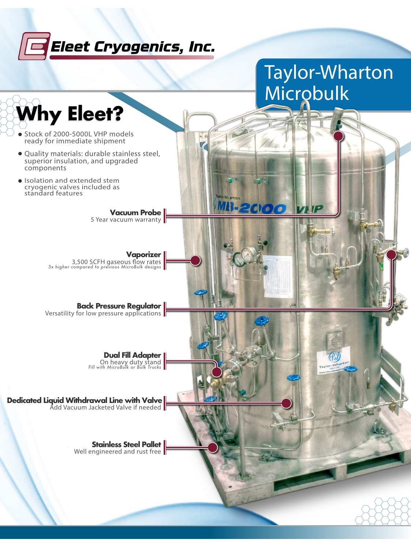# **Seet Cryogenics, Inc.**

# *Taylor-Wharton Microbulk*

**Why Eleet? Why Eleet? Why Eleet?**

Stock of 2000-5000L VHP models

ready for immediate shipment

**Vaporizer** 3,500 SCFH gaseous flow rates 3x higher compared to previous MicroBulk designs



- Quality materials: durable stainless steel, superior insulation, and upgraded components
- Isolation and extended stem cryogenic valves included as standard features

**Vacuum Probe** 5 Year vacuum warranty

#### **Back Pressure Regulator**

Versatility for low pressure applications



#### Add Vacuum Jacketed Valve if needed **Dedicated Liquid Withdrawal Line with Valve**